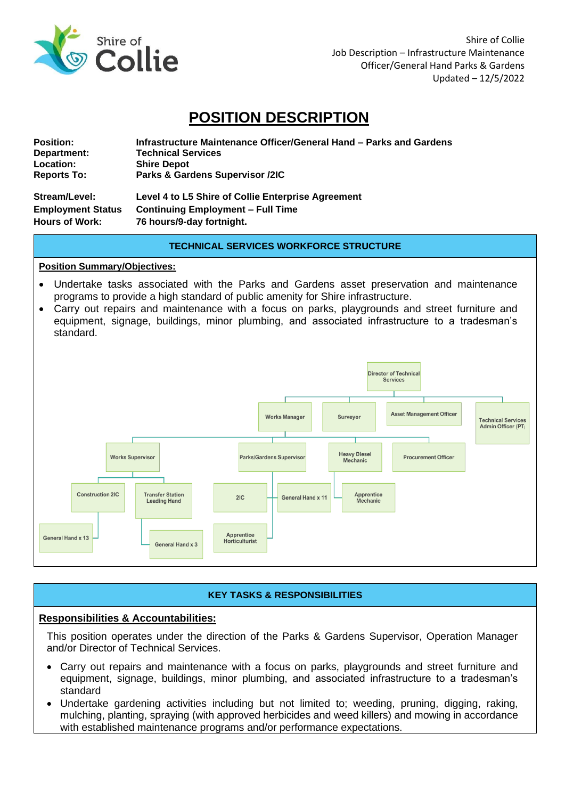

Shire of Collie Job Description – Infrastructure Maintenance Officer/General Hand Parks & Gardens Updated – 12/5/2022

# **POSITION DESCRIPTION**

| <b>Position:</b>         | Infrastructure Maintenance Officer/General Hand – Parks and Gardens |
|--------------------------|---------------------------------------------------------------------|
| Department:              | <b>Technical Services</b>                                           |
| <b>Location:</b>         | <b>Shire Depot</b>                                                  |
| <b>Reports To:</b>       | Parks & Gardens Supervisor /2IC                                     |
| Stream/Level:            | Level 4 to L5 Shire of Collie Enterprise Agreement                  |
| <b>Employment Status</b> | <b>Continuing Employment – Full Time</b>                            |

**Hours of Work: 76 hours/9-day fortnight.**

#### **TECHNICAL SERVICES WORKFORCE STRUCTURE**

#### **Position Summary/Objectives:**

- Undertake tasks associated with the Parks and Gardens asset preservation and maintenance programs to provide a high standard of public amenity for Shire infrastructure.
- Carry out repairs and maintenance with a focus on parks, playgrounds and street furniture and equipment, signage, buildings, minor plumbing, and associated infrastructure to a tradesman's standard.



## **KEY TASKS & RESPONSIBILITIES**

#### **Responsibilities & Accountabilities:**

This position operates under the direction of the Parks & Gardens Supervisor, Operation Manager and/or Director of Technical Services.

- Carry out repairs and maintenance with a focus on parks, playgrounds and street furniture and equipment, signage, buildings, minor plumbing, and associated infrastructure to a tradesman's standard
- Undertake gardening activities including but not limited to; weeding, pruning, digging, raking, mulching, planting, spraying (with approved herbicides and weed killers) and mowing in accordance with established maintenance programs and/or performance expectations.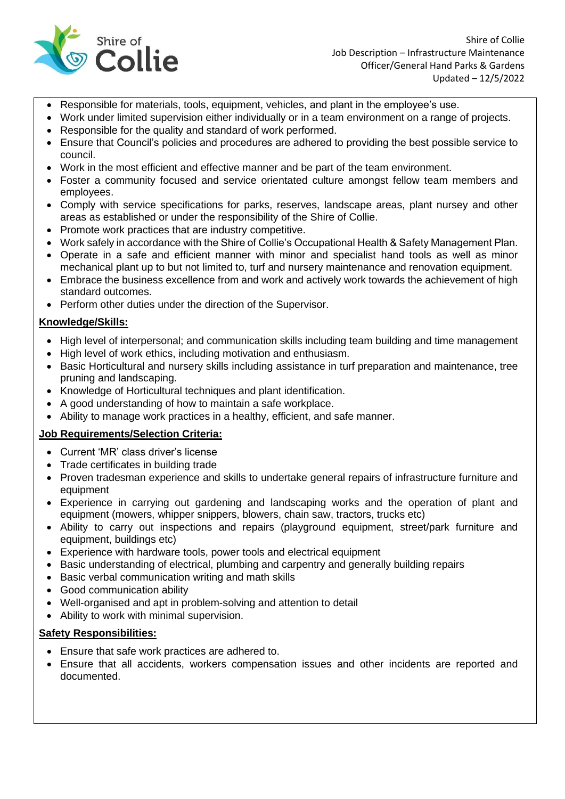

- Responsible for materials, tools, equipment, vehicles, and plant in the employee's use.
- Work under limited supervision either individually or in a team environment on a range of projects.
- Responsible for the quality and standard of work performed.
- Ensure that Council's policies and procedures are adhered to providing the best possible service to council.
- Work in the most efficient and effective manner and be part of the team environment.
- Foster a community focused and service orientated culture amongst fellow team members and employees.
- Comply with service specifications for parks, reserves, landscape areas, plant nursey and other areas as established or under the responsibility of the Shire of Collie.
- Promote work practices that are industry competitive.
- Work safely in accordance with the Shire of Collie's Occupational Health & Safety Management Plan.
- Operate in a safe and efficient manner with minor and specialist hand tools as well as minor mechanical plant up to but not limited to, turf and nursery maintenance and renovation equipment.
- Embrace the business excellence from and work and actively work towards the achievement of high standard outcomes.
- Perform other duties under the direction of the Supervisor.

## **Knowledge/Skills:**

- High level of interpersonal; and communication skills including team building and time management
- High level of work ethics, including motivation and enthusiasm.
- Basic Horticultural and nursery skills including assistance in turf preparation and maintenance, tree pruning and landscaping.
- Knowledge of Horticultural techniques and plant identification.
- A good understanding of how to maintain a safe workplace.
- Ability to manage work practices in a healthy, efficient, and safe manner.

## **Job Requirements/Selection Criteria:**

- Current 'MR' class driver's license
- Trade certificates in building trade
- Proven tradesman experience and skills to undertake general repairs of infrastructure furniture and equipment
- Experience in carrying out gardening and landscaping works and the operation of plant and equipment (mowers, whipper snippers, blowers, chain saw, tractors, trucks etc)
- Ability to carry out inspections and repairs (playground equipment, street/park furniture and equipment, buildings etc)
- Experience with hardware tools, power tools and electrical equipment
- Basic understanding of electrical, plumbing and carpentry and generally building repairs
- Basic verbal communication writing and math skills
- Good communication ability
- Well-organised and apt in problem-solving and attention to detail
- Ability to work with minimal supervision.

## **Safety Responsibilities:**

- Ensure that safe work practices are adhered to.
- Ensure that all accidents, workers compensation issues and other incidents are reported and documented.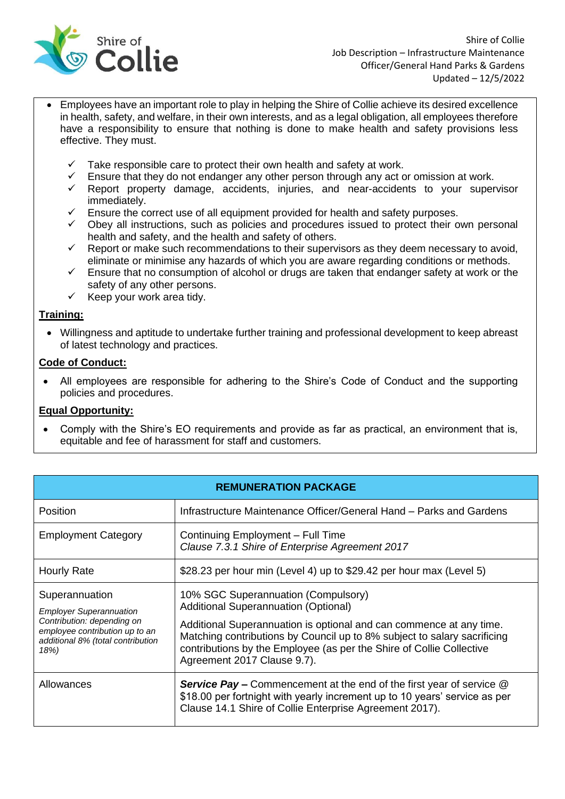

- Employees have an important role to play in helping the Shire of Collie achieve its desired excellence in health, safety, and welfare, in their own interests, and as a legal obligation, all employees therefore have a responsibility to ensure that nothing is done to make health and safety provisions less effective. They must.
	- $\checkmark$  Take responsible care to protect their own health and safety at work.
	- $\checkmark$  Ensure that they do not endanger any other person through any act or omission at work.
	- Report property damage, accidents, injuries, and near-accidents to your supervisor immediately.
	- Ensure the correct use of all equipment provided for health and safety purposes.
	- $\checkmark$  Obey all instructions, such as policies and procedures issued to protect their own personal health and safety, and the health and safety of others.
	- $\checkmark$  Report or make such recommendations to their supervisors as they deem necessary to avoid, eliminate or minimise any hazards of which you are aware regarding conditions or methods.
	- $\checkmark$  Ensure that no consumption of alcohol or drugs are taken that endanger safety at work or the safety of any other persons.
	- $\checkmark$  Keep your work area tidy.

## **Training:**

• Willingness and aptitude to undertake further training and professional development to keep abreast of latest technology and practices.

## **Code of Conduct:**

• All employees are responsible for adhering to the Shire's Code of Conduct and the supporting policies and procedures.

## **Equal Opportunity:**

• Comply with the Shire's EO requirements and provide as far as practical, an environment that is, equitable and fee of harassment for staff and customers.

| <b>REMUNERATION PACKAGE</b>                                                                                                                                   |                                                                                                                                                                                                                                                                                                                                              |  |
|---------------------------------------------------------------------------------------------------------------------------------------------------------------|----------------------------------------------------------------------------------------------------------------------------------------------------------------------------------------------------------------------------------------------------------------------------------------------------------------------------------------------|--|
| Position                                                                                                                                                      | Infrastructure Maintenance Officer/General Hand - Parks and Gardens                                                                                                                                                                                                                                                                          |  |
| <b>Employment Category</b>                                                                                                                                    | Continuing Employment - Full Time<br>Clause 7.3.1 Shire of Enterprise Agreement 2017                                                                                                                                                                                                                                                         |  |
| Hourly Rate                                                                                                                                                   | \$28.23 per hour min (Level 4) up to \$29.42 per hour max (Level 5)                                                                                                                                                                                                                                                                          |  |
| Superannuation<br><b>Employer Superannuation</b><br>Contribution: depending on<br>employee contribution up to an<br>additional 8% (total contribution<br>18%) | 10% SGC Superannuation (Compulsory)<br><b>Additional Superannuation (Optional)</b><br>Additional Superannuation is optional and can commence at any time.<br>Matching contributions by Council up to 8% subject to salary sacrificing<br>contributions by the Employee (as per the Shire of Collie Collective<br>Agreement 2017 Clause 9.7). |  |
| Allowances                                                                                                                                                    | <b>Service Pay –</b> Commencement at the end of the first year of service @<br>\$18.00 per fortnight with yearly increment up to 10 years' service as per<br>Clause 14.1 Shire of Collie Enterprise Agreement 2017).                                                                                                                         |  |